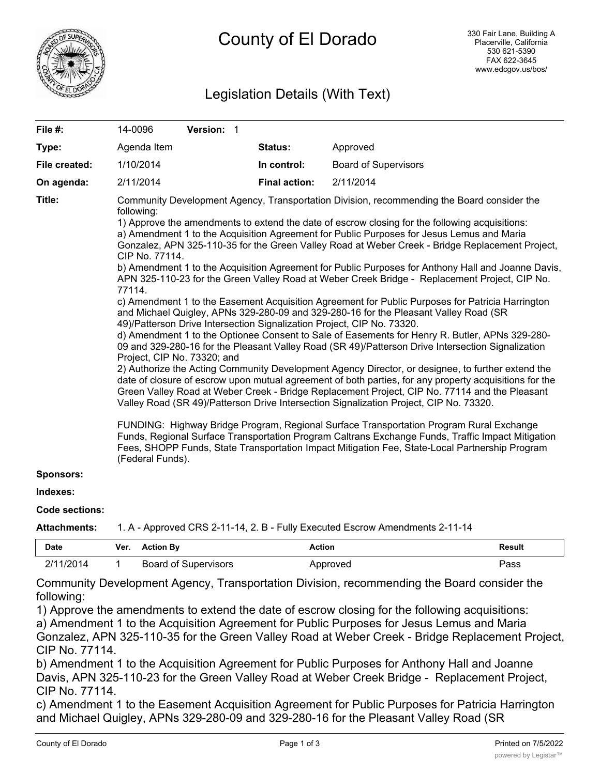

# Legislation Details (With Text)

| File #:          | 14-0096                                                                                   | Version: 1                                                             |                                                                                                                                                                                                                                                                                                                                                                                                                                                                                                                                                                                                                                                                                                                                                                                                                                                                                                                                                                                                                                                                                                                                                                                                                                                                                                                                                                                                                                                                                                                                                                                                                                                                                                                    |
|------------------|-------------------------------------------------------------------------------------------|------------------------------------------------------------------------|--------------------------------------------------------------------------------------------------------------------------------------------------------------------------------------------------------------------------------------------------------------------------------------------------------------------------------------------------------------------------------------------------------------------------------------------------------------------------------------------------------------------------------------------------------------------------------------------------------------------------------------------------------------------------------------------------------------------------------------------------------------------------------------------------------------------------------------------------------------------------------------------------------------------------------------------------------------------------------------------------------------------------------------------------------------------------------------------------------------------------------------------------------------------------------------------------------------------------------------------------------------------------------------------------------------------------------------------------------------------------------------------------------------------------------------------------------------------------------------------------------------------------------------------------------------------------------------------------------------------------------------------------------------------------------------------------------------------|
| Type:            | Agenda Item                                                                               | Status:                                                                | Approved                                                                                                                                                                                                                                                                                                                                                                                                                                                                                                                                                                                                                                                                                                                                                                                                                                                                                                                                                                                                                                                                                                                                                                                                                                                                                                                                                                                                                                                                                                                                                                                                                                                                                                           |
| File created:    | 1/10/2014                                                                                 | In control:                                                            | <b>Board of Supervisors</b>                                                                                                                                                                                                                                                                                                                                                                                                                                                                                                                                                                                                                                                                                                                                                                                                                                                                                                                                                                                                                                                                                                                                                                                                                                                                                                                                                                                                                                                                                                                                                                                                                                                                                        |
| On agenda:       | 2/11/2014                                                                                 | <b>Final action:</b>                                                   | 2/11/2014                                                                                                                                                                                                                                                                                                                                                                                                                                                                                                                                                                                                                                                                                                                                                                                                                                                                                                                                                                                                                                                                                                                                                                                                                                                                                                                                                                                                                                                                                                                                                                                                                                                                                                          |
| Title:           | following:<br>CIP No. 77114.<br>77114.<br>Project, CIP No. 73320; and<br>(Federal Funds). | 49)/Patterson Drive Intersection Signalization Project, CIP No. 73320. | Community Development Agency, Transportation Division, recommending the Board consider the<br>1) Approve the amendments to extend the date of escrow closing for the following acquisitions:<br>a) Amendment 1 to the Acquisition Agreement for Public Purposes for Jesus Lemus and Maria<br>Gonzalez, APN 325-110-35 for the Green Valley Road at Weber Creek - Bridge Replacement Project,<br>b) Amendment 1 to the Acquisition Agreement for Public Purposes for Anthony Hall and Joanne Davis,<br>APN 325-110-23 for the Green Valley Road at Weber Creek Bridge - Replacement Project, CIP No.<br>c) Amendment 1 to the Easement Acquisition Agreement for Public Purposes for Patricia Harrington<br>and Michael Quigley, APNs 329-280-09 and 329-280-16 for the Pleasant Valley Road (SR<br>d) Amendment 1 to the Optionee Consent to Sale of Easements for Henry R. Butler, APNs 329-280-<br>09 and 329-280-16 for the Pleasant Valley Road (SR 49)/Patterson Drive Intersection Signalization<br>2) Authorize the Acting Community Development Agency Director, or designee, to further extend the<br>date of closure of escrow upon mutual agreement of both parties, for any property acquisitions for the<br>Green Valley Road at Weber Creek - Bridge Replacement Project, CIP No. 77114 and the Pleasant<br>Valley Road (SR 49)/Patterson Drive Intersection Signalization Project, CIP No. 73320.<br>FUNDING: Highway Bridge Program, Regional Surface Transportation Program Rural Exchange<br>Funds, Regional Surface Transportation Program Caltrans Exchange Funds, Traffic Impact Mitigation<br>Fees, SHOPP Funds, State Transportation Impact Mitigation Fee, State-Local Partnership Program |
| <b>Sponsors:</b> |                                                                                           |                                                                        |                                                                                                                                                                                                                                                                                                                                                                                                                                                                                                                                                                                                                                                                                                                                                                                                                                                                                                                                                                                                                                                                                                                                                                                                                                                                                                                                                                                                                                                                                                                                                                                                                                                                                                                    |
| Indexes:         |                                                                                           |                                                                        |                                                                                                                                                                                                                                                                                                                                                                                                                                                                                                                                                                                                                                                                                                                                                                                                                                                                                                                                                                                                                                                                                                                                                                                                                                                                                                                                                                                                                                                                                                                                                                                                                                                                                                                    |

### **Code sections:**

**Attachments:** 1. A - Approved CRS 2-11-14, 2. B - Fully Executed Escrow Amendments 2-11-14

| Date      | Ver. | <b>Action By</b>     | <b>Action</b> | <b>Result</b> |
|-----------|------|----------------------|---------------|---------------|
| 2/11/2014 |      | Board of Supervisors | '\pproved     | Pass          |

Community Development Agency, Transportation Division, recommending the Board consider the following:

1) Approve the amendments to extend the date of escrow closing for the following acquisitions:

a) Amendment 1 to the Acquisition Agreement for Public Purposes for Jesus Lemus and Maria

Gonzalez, APN 325-110-35 for the Green Valley Road at Weber Creek - Bridge Replacement Project, CIP No. 77114.

b) Amendment 1 to the Acquisition Agreement for Public Purposes for Anthony Hall and Joanne Davis, APN 325-110-23 for the Green Valley Road at Weber Creek Bridge - Replacement Project, CIP No. 77114.

c) Amendment 1 to the Easement Acquisition Agreement for Public Purposes for Patricia Harrington and Michael Quigley, APNs 329-280-09 and 329-280-16 for the Pleasant Valley Road (SR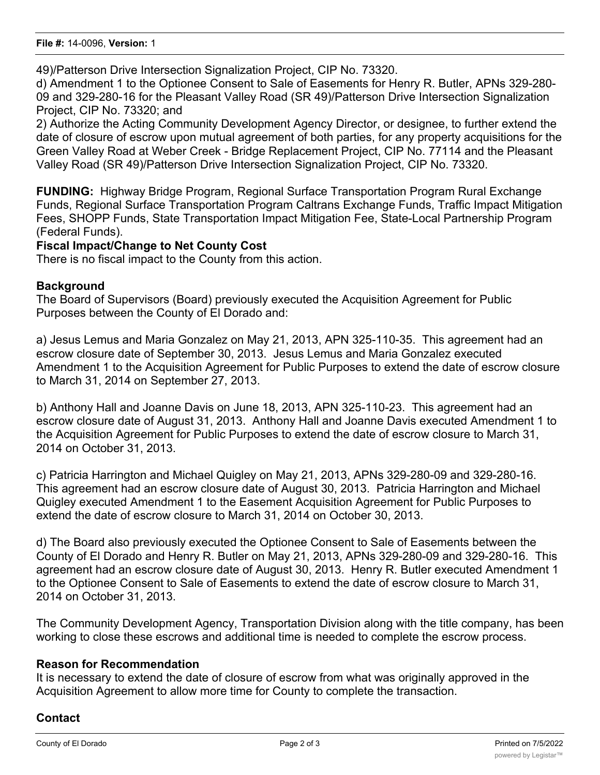49)/Patterson Drive Intersection Signalization Project, CIP No. 73320.

d) Amendment 1 to the Optionee Consent to Sale of Easements for Henry R. Butler, APNs 329-280- 09 and 329-280-16 for the Pleasant Valley Road (SR 49)/Patterson Drive Intersection Signalization Project, CIP No. 73320; and

2) Authorize the Acting Community Development Agency Director, or designee, to further extend the date of closure of escrow upon mutual agreement of both parties, for any property acquisitions for the Green Valley Road at Weber Creek - Bridge Replacement Project, CIP No. 77114 and the Pleasant Valley Road (SR 49)/Patterson Drive Intersection Signalization Project, CIP No. 73320.

**FUNDING:** Highway Bridge Program, Regional Surface Transportation Program Rural Exchange Funds, Regional Surface Transportation Program Caltrans Exchange Funds, Traffic Impact Mitigation Fees, SHOPP Funds, State Transportation Impact Mitigation Fee, State-Local Partnership Program (Federal Funds).

#### **Fiscal Impact/Change to Net County Cost**

There is no fiscal impact to the County from this action.

#### **Background**

The Board of Supervisors (Board) previously executed the Acquisition Agreement for Public Purposes between the County of El Dorado and:

a) Jesus Lemus and Maria Gonzalez on May 21, 2013, APN 325-110-35. This agreement had an escrow closure date of September 30, 2013. Jesus Lemus and Maria Gonzalez executed Amendment 1 to the Acquisition Agreement for Public Purposes to extend the date of escrow closure to March 31, 2014 on September 27, 2013.

b) Anthony Hall and Joanne Davis on June 18, 2013, APN 325-110-23. This agreement had an escrow closure date of August 31, 2013. Anthony Hall and Joanne Davis executed Amendment 1 to the Acquisition Agreement for Public Purposes to extend the date of escrow closure to March 31, 2014 on October 31, 2013.

c) Patricia Harrington and Michael Quigley on May 21, 2013, APNs 329-280-09 and 329-280-16. This agreement had an escrow closure date of August 30, 2013. Patricia Harrington and Michael Quigley executed Amendment 1 to the Easement Acquisition Agreement for Public Purposes to extend the date of escrow closure to March 31, 2014 on October 30, 2013.

d) The Board also previously executed the Optionee Consent to Sale of Easements between the County of El Dorado and Henry R. Butler on May 21, 2013, APNs 329-280-09 and 329-280-16. This agreement had an escrow closure date of August 30, 2013. Henry R. Butler executed Amendment 1 to the Optionee Consent to Sale of Easements to extend the date of escrow closure to March 31, 2014 on October 31, 2013.

The Community Development Agency, Transportation Division along with the title company, has been working to close these escrows and additional time is needed to complete the escrow process.

#### **Reason for Recommendation**

It is necessary to extend the date of closure of escrow from what was originally approved in the Acquisition Agreement to allow more time for County to complete the transaction.

#### **Contact**